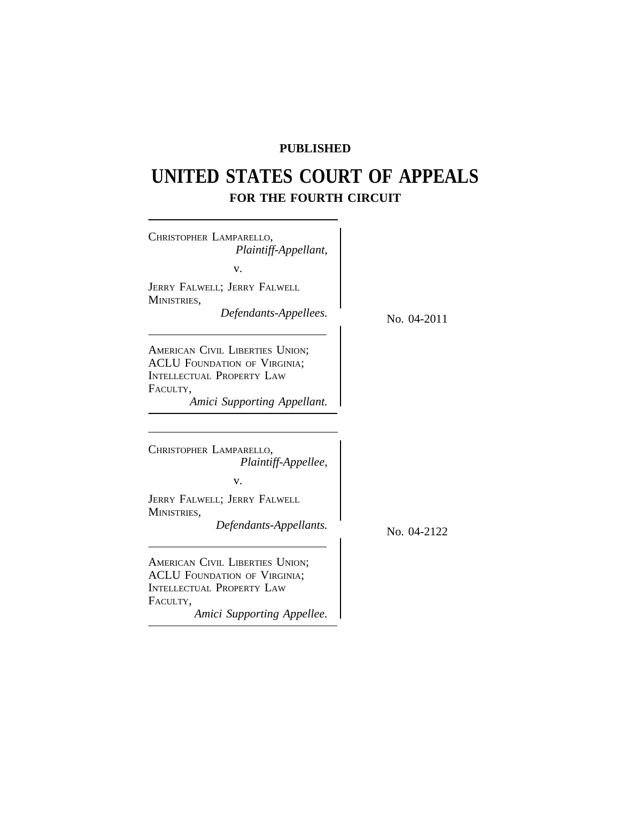# **PUBLISHED**

# **UNITED STATES COURT OF APPEALS FOR THE FOURTH CIRCUIT**

| CHRISTOPHER LAMPARELLO,<br>Plaintiff-Appellant,                                                                                                       |             |
|-------------------------------------------------------------------------------------------------------------------------------------------------------|-------------|
| v.<br><b>JERRY FALWELL; JERRY FALWELL</b><br>MINISTRIES,<br>Defendants-Appellees.                                                                     | No. 04-2011 |
| AMERICAN CIVIL LIBERTIES UNION;<br><b>ACLU FOUNDATION OF VIRGINIA;</b><br><b>INTELLECTUAL PROPERTY LAW</b><br>FACULTY,<br>Amici Supporting Appellant. |             |
| CHRISTOPHER LAMPARELLO,<br>Plaintiff-Appellee,<br>V.<br><b>JERRY FALWELL; JERRY FALWELL</b><br>MINISTRIES,<br>Defendants-Appellants.                  | No. 04-2122 |
| AMERICAN CIVIL LIBERTIES UNION;<br><b>ACLU FOUNDATION OF VIRGINIA;</b><br>INTELLECTUAL PROPERTY LAW<br>FACULTY,<br>Amici Supporting Appellee.         |             |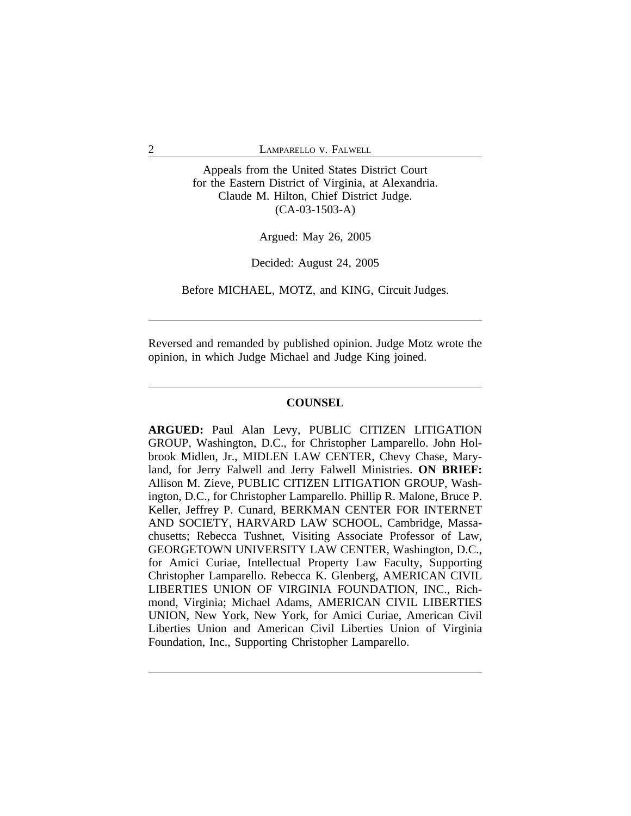Appeals from the United States District Court for the Eastern District of Virginia, at Alexandria. Claude M. Hilton, Chief District Judge. (CA-03-1503-A)

Argued: May 26, 2005

#### Decided: August 24, 2005

Before MICHAEL, MOTZ, and KING, Circuit Judges.

Reversed and remanded by published opinion. Judge Motz wrote the opinion, in which Judge Michael and Judge King joined.

## **COUNSEL**

**ARGUED:** Paul Alan Levy, PUBLIC CITIZEN LITIGATION GROUP, Washington, D.C., for Christopher Lamparello. John Holbrook Midlen, Jr., MIDLEN LAW CENTER, Chevy Chase, Maryland, for Jerry Falwell and Jerry Falwell Ministries. **ON BRIEF:** Allison M. Zieve, PUBLIC CITIZEN LITIGATION GROUP, Washington, D.C., for Christopher Lamparello. Phillip R. Malone, Bruce P. Keller, Jeffrey P. Cunard, BERKMAN CENTER FOR INTERNET AND SOCIETY, HARVARD LAW SCHOOL, Cambridge, Massachusetts; Rebecca Tushnet, Visiting Associate Professor of Law, GEORGETOWN UNIVERSITY LAW CENTER, Washington, D.C., for Amici Curiae, Intellectual Property Law Faculty, Supporting Christopher Lamparello. Rebecca K. Glenberg, AMERICAN CIVIL LIBERTIES UNION OF VIRGINIA FOUNDATION, INC., Richmond, Virginia; Michael Adams, AMERICAN CIVIL LIBERTIES UNION, New York, New York, for Amici Curiae, American Civil Liberties Union and American Civil Liberties Union of Virginia Foundation, Inc., Supporting Christopher Lamparello.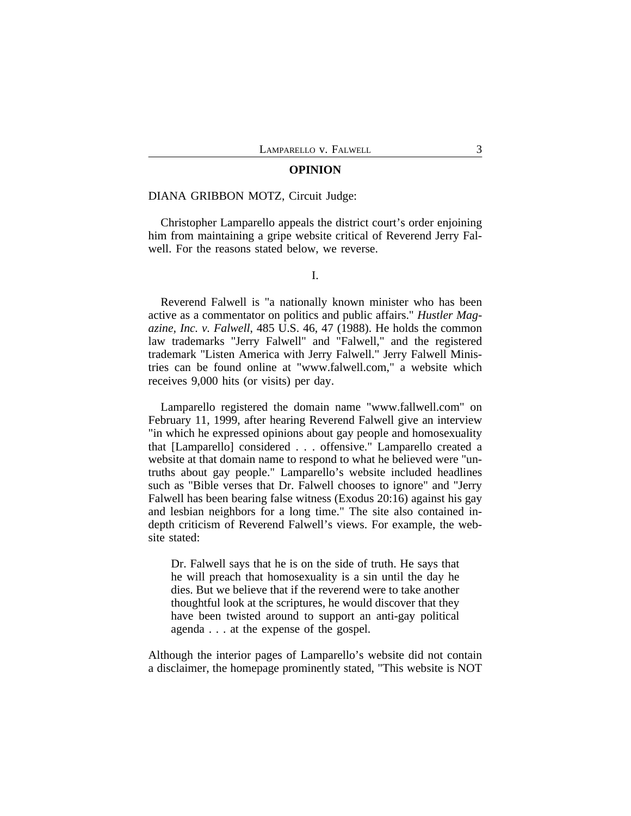# **OPINION**

#### DIANA GRIBBON MOTZ, Circuit Judge:

Christopher Lamparello appeals the district court's order enjoining him from maintaining a gripe website critical of Reverend Jerry Falwell. For the reasons stated below, we reverse.

I.

Reverend Falwell is "a nationally known minister who has been active as a commentator on politics and public affairs." *Hustler Magazine, Inc. v. Falwell*, 485 U.S. 46, 47 (1988). He holds the common law trademarks "Jerry Falwell" and "Falwell," and the registered trademark "Listen America with Jerry Falwell." Jerry Falwell Ministries can be found online at "www.falwell.com," a website which receives 9,000 hits (or visits) per day.

Lamparello registered the domain name "www.fallwell.com" on February 11, 1999, after hearing Reverend Falwell give an interview "in which he expressed opinions about gay people and homosexuality that [Lamparello] considered . . . offensive." Lamparello created a website at that domain name to respond to what he believed were "untruths about gay people." Lamparello's website included headlines such as "Bible verses that Dr. Falwell chooses to ignore" and "Jerry Falwell has been bearing false witness (Exodus 20:16) against his gay and lesbian neighbors for a long time." The site also contained indepth criticism of Reverend Falwell's views. For example, the website stated:

Dr. Falwell says that he is on the side of truth. He says that he will preach that homosexuality is a sin until the day he dies. But we believe that if the reverend were to take another thoughtful look at the scriptures, he would discover that they have been twisted around to support an anti-gay political agenda . . . at the expense of the gospel.

Although the interior pages of Lamparello's website did not contain a disclaimer, the homepage prominently stated, "This website is NOT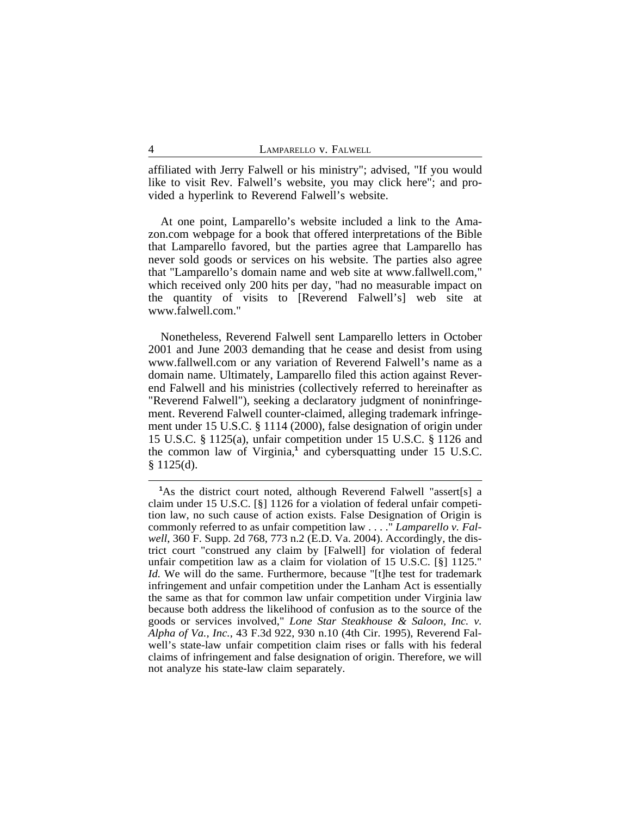affiliated with Jerry Falwell or his ministry"; advised, "If you would like to visit Rev. Falwell's website, you may click here"; and provided a hyperlink to Reverend Falwell's website.

At one point, Lamparello's website included a link to the Amazon.com webpage for a book that offered interpretations of the Bible that Lamparello favored, but the parties agree that Lamparello has never sold goods or services on his website. The parties also agree that "Lamparello's domain name and web site at www.fallwell.com," which received only 200 hits per day, "had no measurable impact on the quantity of visits to [Reverend Falwell's] web site at www.falwell.com."

Nonetheless, Reverend Falwell sent Lamparello letters in October 2001 and June 2003 demanding that he cease and desist from using www.fallwell.com or any variation of Reverend Falwell's name as a domain name. Ultimately, Lamparello filed this action against Reverend Falwell and his ministries (collectively referred to hereinafter as "Reverend Falwell"), seeking a declaratory judgment of noninfringement. Reverend Falwell counter-claimed, alleging trademark infringement under 15 U.S.C. § 1114 (2000), false designation of origin under 15 U.S.C. § 1125(a), unfair competition under 15 U.S.C. § 1126 and the common law of Virginia,**<sup>1</sup>** and cybersquatting under 15 U.S.C. § 1125(d).

**<sup>1</sup>**As the district court noted, although Reverend Falwell "assert[s] a claim under 15 U.S.C. [§] 1126 for a violation of federal unfair competition law, no such cause of action exists. False Designation of Origin is commonly referred to as unfair competition law . . . ." *Lamparello v. Falwell*, 360 F. Supp. 2d 768, 773 n.2 (E.D. Va. 2004). Accordingly, the district court "construed any claim by [Falwell] for violation of federal unfair competition law as a claim for violation of 15 U.S.C. [§] 1125." *Id.* We will do the same. Furthermore, because "[t]he test for trademark infringement and unfair competition under the Lanham Act is essentially the same as that for common law unfair competition under Virginia law because both address the likelihood of confusion as to the source of the goods or services involved," *Lone Star Steakhouse & Saloon, Inc. v. Alpha of Va., Inc.*, 43 F.3d 922, 930 n.10 (4th Cir. 1995), Reverend Falwell's state-law unfair competition claim rises or falls with his federal claims of infringement and false designation of origin. Therefore, we will not analyze his state-law claim separately.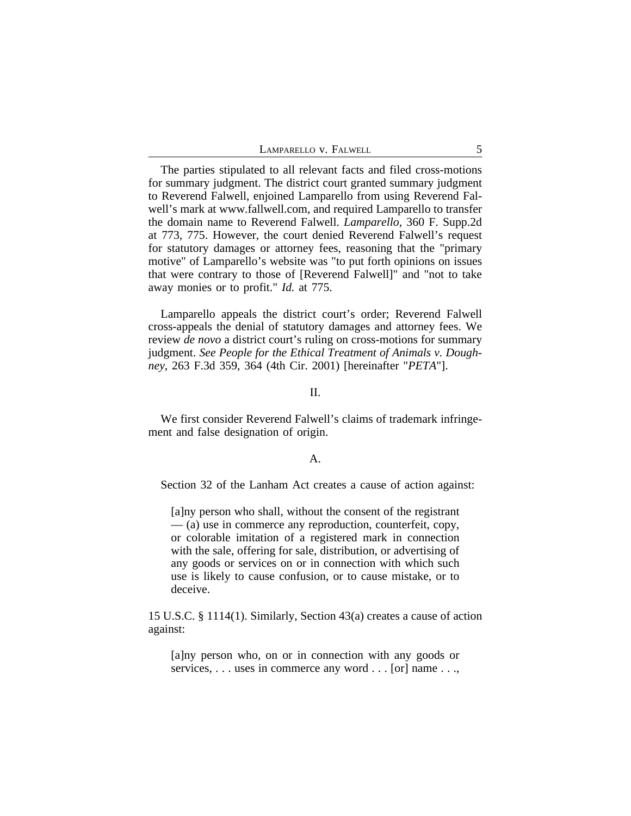The parties stipulated to all relevant facts and filed cross-motions for summary judgment. The district court granted summary judgment to Reverend Falwell, enjoined Lamparello from using Reverend Falwell's mark at www.fallwell.com, and required Lamparello to transfer the domain name to Reverend Falwell. *Lamparello*, 360 F. Supp.2d at 773, 775. However, the court denied Reverend Falwell's request for statutory damages or attorney fees, reasoning that the "primary motive" of Lamparello's website was "to put forth opinions on issues that were contrary to those of [Reverend Falwell]" and "not to take away monies or to profit." *Id.* at 775.

Lamparello appeals the district court's order; Reverend Falwell cross-appeals the denial of statutory damages and attorney fees. We review *de novo* a district court's ruling on cross-motions for summary judgment. *See People for the Ethical Treatment of Animals v. Doughney*, 263 F.3d 359, 364 (4th Cir. 2001) [hereinafter "*PETA*"].

# II.

We first consider Reverend Falwell's claims of trademark infringement and false designation of origin.

#### A.

Section 32 of the Lanham Act creates a cause of action against:

[a]ny person who shall, without the consent of the registrant — (a) use in commerce any reproduction, counterfeit, copy, or colorable imitation of a registered mark in connection with the sale, offering for sale, distribution, or advertising of any goods or services on or in connection with which such use is likely to cause confusion, or to cause mistake, or to deceive.

15 U.S.C. § 1114(1). Similarly, Section 43(a) creates a cause of action against:

[a]ny person who, on or in connection with any goods or services, . . . uses in commerce any word . . . [or] name . . .,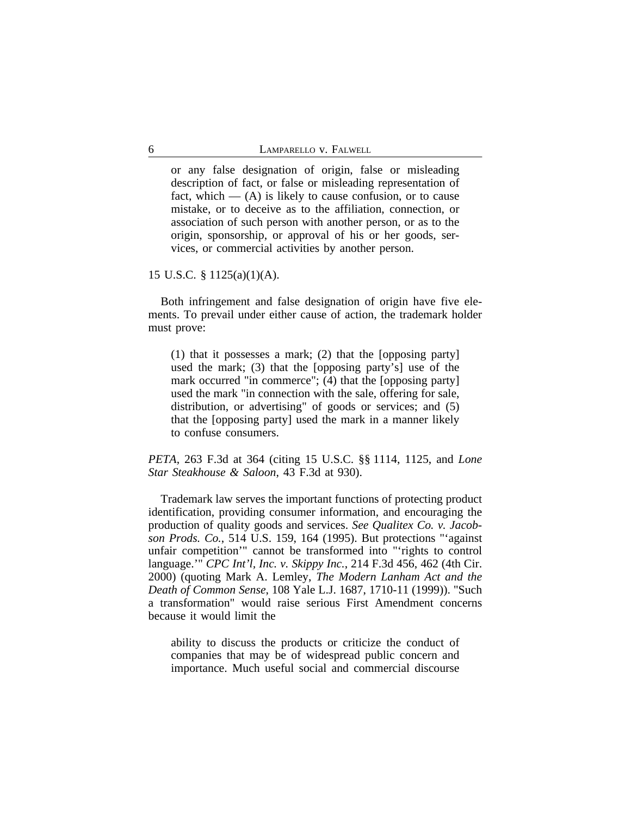or any false designation of origin, false or misleading description of fact, or false or misleading representation of fact, which  $-$  (A) is likely to cause confusion, or to cause mistake, or to deceive as to the affiliation, connection, or association of such person with another person, or as to the origin, sponsorship, or approval of his or her goods, services, or commercial activities by another person.

15 U.S.C. § 1125(a)(1)(A).

Both infringement and false designation of origin have five elements. To prevail under either cause of action, the trademark holder must prove:

(1) that it possesses a mark; (2) that the [opposing party] used the mark; (3) that the [opposing party's] use of the mark occurred "in commerce";  $(4)$  that the [opposing party] used the mark "in connection with the sale, offering for sale, distribution, or advertising" of goods or services; and (5) that the [opposing party] used the mark in a manner likely to confuse consumers.

*PETA*, 263 F.3d at 364 (citing 15 U.S.C. §§ 1114, 1125, and *Lone Star Steakhouse & Saloon*, 43 F.3d at 930).

Trademark law serves the important functions of protecting product identification, providing consumer information, and encouraging the production of quality goods and services. *See Qualitex Co. v. Jacobson Prods. Co.*, 514 U.S. 159, 164 (1995). But protections "'against unfair competition'" cannot be transformed into "'rights to control language.'" *CPC Int'l, Inc. v. Skippy Inc.*, 214 F.3d 456, 462 (4th Cir. 2000) (quoting Mark A. Lemley, *The Modern Lanham Act and the Death of Common Sense*, 108 Yale L.J. 1687, 1710-11 (1999)). "Such a transformation" would raise serious First Amendment concerns because it would limit the

ability to discuss the products or criticize the conduct of companies that may be of widespread public concern and importance. Much useful social and commercial discourse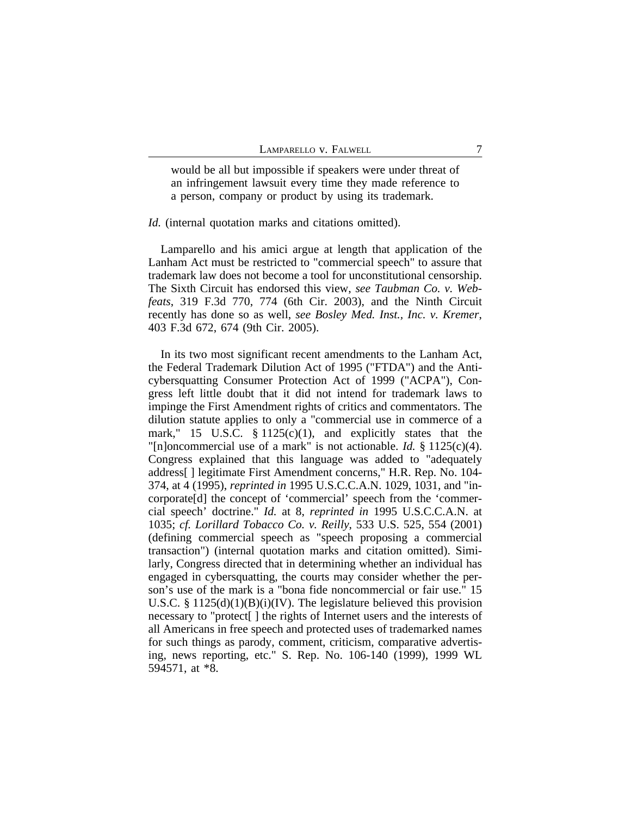would be all but impossible if speakers were under threat of an infringement lawsuit every time they made reference to a person, company or product by using its trademark.

#### *Id.* (internal quotation marks and citations omitted).

Lamparello and his amici argue at length that application of the Lanham Act must be restricted to "commercial speech" to assure that trademark law does not become a tool for unconstitutional censorship. The Sixth Circuit has endorsed this view, *see Taubman Co. v. Webfeats*, 319 F.3d 770, 774 (6th Cir. 2003), and the Ninth Circuit recently has done so as well, *see Bosley Med. Inst., Inc. v. Kremer*, 403 F.3d 672, 674 (9th Cir. 2005).

In its two most significant recent amendments to the Lanham Act, the Federal Trademark Dilution Act of 1995 ("FTDA") and the Anticybersquatting Consumer Protection Act of 1999 ("ACPA"), Congress left little doubt that it did not intend for trademark laws to impinge the First Amendment rights of critics and commentators. The dilution statute applies to only a "commercial use in commerce of a mark," 15 U.S.C.  $\S 1125(c)(1)$ , and explicitly states that the "[n]oncommercial use of a mark" is not actionable. *Id.* § 1125(c)(4). Congress explained that this language was added to "adequately address[ ] legitimate First Amendment concerns," H.R. Rep. No. 104- 374, at 4 (1995), *reprinted in* 1995 U.S.C.C.A.N. 1029, 1031, and "incorporate[d] the concept of 'commercial' speech from the 'commercial speech' doctrine." *Id.* at 8, *reprinted in* 1995 U.S.C.C.A.N. at 1035; *cf. Lorillard Tobacco Co. v. Reilly*, 533 U.S. 525, 554 (2001) (defining commercial speech as "speech proposing a commercial transaction") (internal quotation marks and citation omitted). Similarly, Congress directed that in determining whether an individual has engaged in cybersquatting, the courts may consider whether the person's use of the mark is a "bona fide noncommercial or fair use." 15 U.S.C.  $\S 1125(d)(1)(B)(i)(IV)$ . The legislature believed this provision necessary to "protect[ ] the rights of Internet users and the interests of all Americans in free speech and protected uses of trademarked names for such things as parody, comment, criticism, comparative advertising, news reporting, etc." S. Rep. No. 106-140 (1999), 1999 WL 594571, at \*8.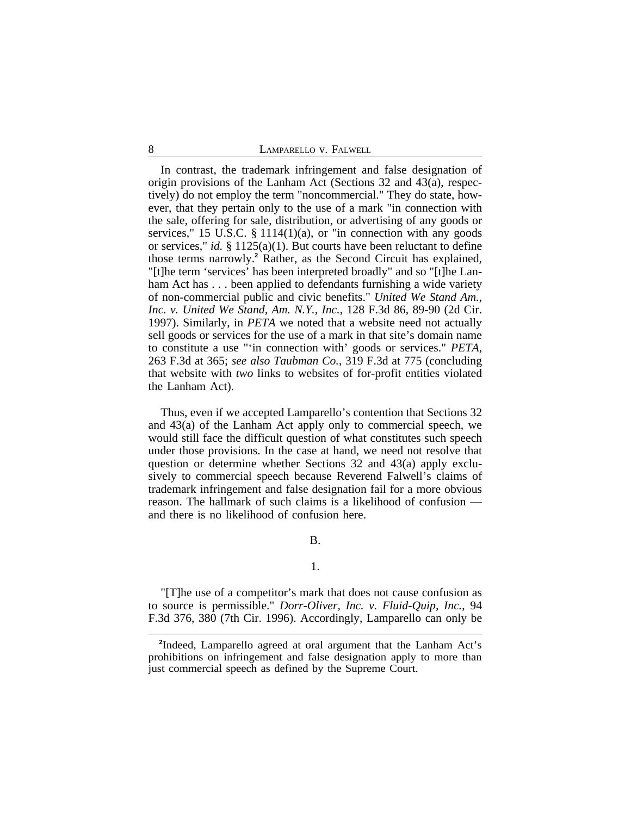In contrast, the trademark infringement and false designation of origin provisions of the Lanham Act (Sections 32 and 43(a), respectively) do not employ the term "noncommercial." They do state, however, that they pertain only to the use of a mark "in connection with the sale, offering for sale, distribution, or advertising of any goods or services," 15 U.S.C. § 1114(1)(a), or "in connection with any goods or services," *id.* § 1125(a)(1). But courts have been reluctant to define those terms narrowly.**<sup>2</sup>** Rather, as the Second Circuit has explained, "[t]he term 'services' has been interpreted broadly" and so "[t]he Lanham Act has . . . been applied to defendants furnishing a wide variety of non-commercial public and civic benefits." *United We Stand Am., Inc. v. United We Stand, Am. N.Y., Inc.*, 128 F.3d 86, 89-90 (2d Cir. 1997). Similarly, in *PETA* we noted that a website need not actually sell goods or services for the use of a mark in that site's domain name to constitute a use "'in connection with' goods or services." *PETA*, 263 F.3d at 365; *see also Taubman Co.*, 319 F.3d at 775 (concluding that website with *two* links to websites of for-profit entities violated the Lanham Act).

Thus, even if we accepted Lamparello's contention that Sections 32 and 43(a) of the Lanham Act apply only to commercial speech, we would still face the difficult question of what constitutes such speech under those provisions. In the case at hand, we need not resolve that question or determine whether Sections 32 and 43(a) apply exclusively to commercial speech because Reverend Falwell's claims of trademark infringement and false designation fail for a more obvious reason. The hallmark of such claims is a likelihood of confusion and there is no likelihood of confusion here.

#### B.

## 1.

"[T]he use of a competitor's mark that does not cause confusion as to source is permissible." *Dorr-Oliver, Inc. v. Fluid-Quip, Inc.*, 94 F.3d 376, 380 (7th Cir. 1996). Accordingly, Lamparello can only be

**<sup>2</sup>** Indeed, Lamparello agreed at oral argument that the Lanham Act's prohibitions on infringement and false designation apply to more than just commercial speech as defined by the Supreme Court.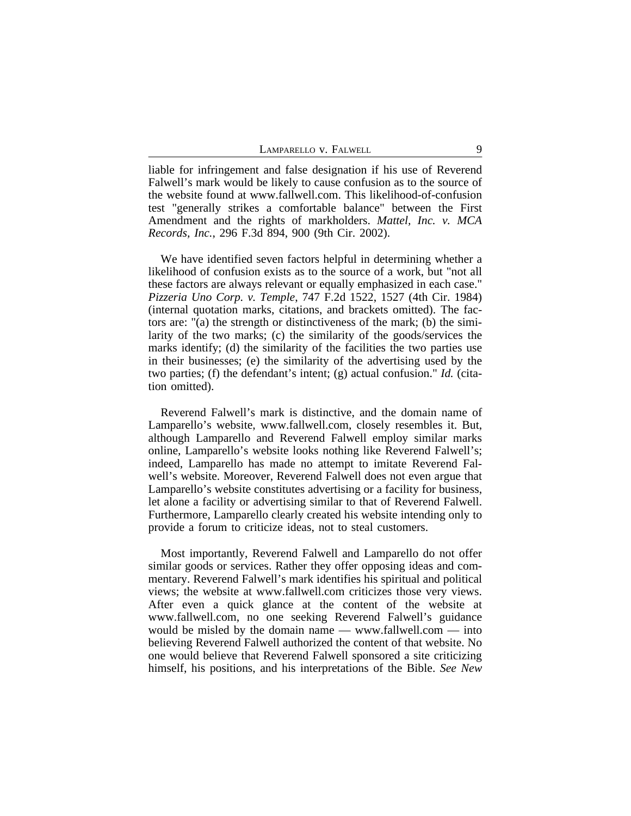liable for infringement and false designation if his use of Reverend Falwell's mark would be likely to cause confusion as to the source of the website found at www.fallwell.com. This likelihood-of-confusion test "generally strikes a comfortable balance" between the First Amendment and the rights of markholders. *Mattel, Inc. v. MCA Records, Inc.*, 296 F.3d 894, 900 (9th Cir. 2002).

We have identified seven factors helpful in determining whether a likelihood of confusion exists as to the source of a work, but "not all these factors are always relevant or equally emphasized in each case." *Pizzeria Uno Corp. v. Temple*, 747 F.2d 1522, 1527 (4th Cir. 1984) (internal quotation marks, citations, and brackets omitted). The factors are: "(a) the strength or distinctiveness of the mark; (b) the similarity of the two marks; (c) the similarity of the goods/services the marks identify; (d) the similarity of the facilities the two parties use in their businesses; (e) the similarity of the advertising used by the two parties; (f) the defendant's intent; (g) actual confusion." *Id.* (citation omitted).

Reverend Falwell's mark is distinctive, and the domain name of Lamparello's website, www.fallwell.com, closely resembles it. But, although Lamparello and Reverend Falwell employ similar marks online, Lamparello's website looks nothing like Reverend Falwell's; indeed, Lamparello has made no attempt to imitate Reverend Falwell's website. Moreover, Reverend Falwell does not even argue that Lamparello's website constitutes advertising or a facility for business, let alone a facility or advertising similar to that of Reverend Falwell. Furthermore, Lamparello clearly created his website intending only to provide a forum to criticize ideas, not to steal customers.

Most importantly, Reverend Falwell and Lamparello do not offer similar goods or services. Rather they offer opposing ideas and commentary. Reverend Falwell's mark identifies his spiritual and political views; the website at www.fallwell.com criticizes those very views. After even a quick glance at the content of the website at www.fallwell.com, no one seeking Reverend Falwell's guidance would be misled by the domain name — www.fallwell.com — into believing Reverend Falwell authorized the content of that website. No one would believe that Reverend Falwell sponsored a site criticizing himself, his positions, and his interpretations of the Bible. *See New*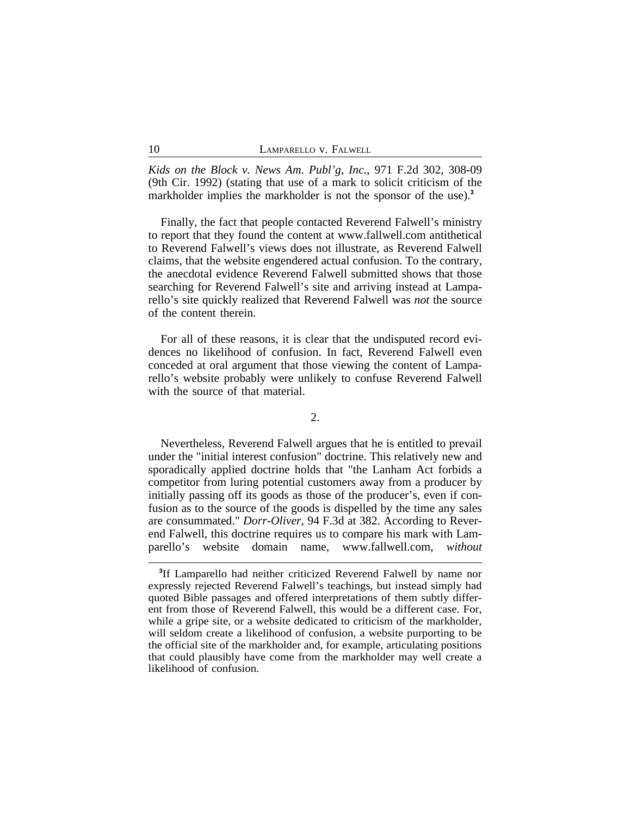*Kids on the Block v. News Am. Publ'g, Inc.*, 971 F.2d 302, 308-09 (9th Cir. 1992) (stating that use of a mark to solicit criticism of the markholder implies the markholder is not the sponsor of the use).**<sup>3</sup>**

Finally, the fact that people contacted Reverend Falwell's ministry to report that they found the content at www.fallwell.com antithetical to Reverend Falwell's views does not illustrate, as Reverend Falwell claims, that the website engendered actual confusion. To the contrary, the anecdotal evidence Reverend Falwell submitted shows that those searching for Reverend Falwell's site and arriving instead at Lamparello's site quickly realized that Reverend Falwell was *not* the source of the content therein.

For all of these reasons, it is clear that the undisputed record evidences no likelihood of confusion. In fact, Reverend Falwell even conceded at oral argument that those viewing the content of Lamparello's website probably were unlikely to confuse Reverend Falwell with the source of that material.

2.

Nevertheless, Reverend Falwell argues that he is entitled to prevail under the "initial interest confusion" doctrine. This relatively new and sporadically applied doctrine holds that "the Lanham Act forbids a competitor from luring potential customers away from a producer by initially passing off its goods as those of the producer's, even if confusion as to the source of the goods is dispelled by the time any sales are consummated." *Dorr-Oliver*, 94 F.3d at 382. According to Reverend Falwell, this doctrine requires us to compare his mark with Lamparello's website domain name, www.fallwell.com, *without*

**<sup>3</sup>** If Lamparello had neither criticized Reverend Falwell by name nor expressly rejected Reverend Falwell's teachings, but instead simply had quoted Bible passages and offered interpretations of them subtly different from those of Reverend Falwell, this would be a different case. For, while a gripe site, or a website dedicated to criticism of the markholder, will seldom create a likelihood of confusion, a website purporting to be the official site of the markholder and, for example, articulating positions that could plausibly have come from the markholder may well create a likelihood of confusion.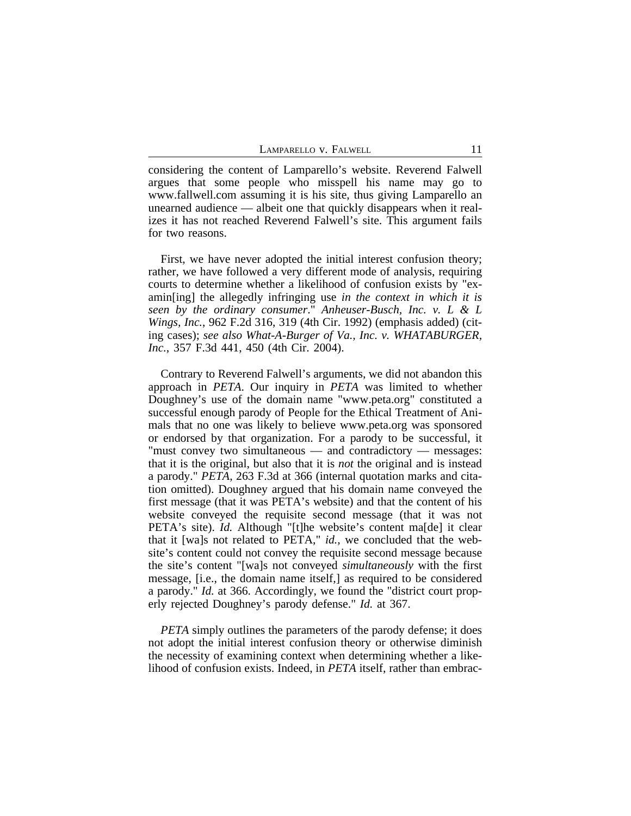considering the content of Lamparello's website. Reverend Falwell argues that some people who misspell his name may go to www.fallwell.com assuming it is his site, thus giving Lamparello an unearned audience — albeit one that quickly disappears when it realizes it has not reached Reverend Falwell's site. This argument fails for two reasons.

First, we have never adopted the initial interest confusion theory; rather, we have followed a very different mode of analysis, requiring courts to determine whether a likelihood of confusion exists by "examin[ing] the allegedly infringing use *in the context in which it is seen by the ordinary consumer*." *Anheuser-Busch, Inc. v. L & L Wings, Inc.*, 962 F.2d 316, 319 (4th Cir. 1992) (emphasis added) (citing cases); *see also What-A-Burger of Va., Inc. v. WHATABURGER, Inc.*, 357 F.3d 441, 450 (4th Cir. 2004).

Contrary to Reverend Falwell's arguments, we did not abandon this approach in *PETA*. Our inquiry in *PETA* was limited to whether Doughney's use of the domain name "www.peta.org" constituted a successful enough parody of People for the Ethical Treatment of Animals that no one was likely to believe www.peta.org was sponsored or endorsed by that organization. For a parody to be successful, it "must convey two simultaneous — and contradictory — messages: that it is the original, but also that it is *not* the original and is instead a parody." *PETA*, 263 F.3d at 366 (internal quotation marks and citation omitted). Doughney argued that his domain name conveyed the first message (that it was PETA's website) and that the content of his website conveyed the requisite second message (that it was not PETA's site). *Id.* Although "[t]he website's content ma[de] it clear that it [wa]s not related to PETA," *id.*, we concluded that the website's content could not convey the requisite second message because the site's content "[wa]s not conveyed *simultaneously* with the first message, [i.e., the domain name itself,] as required to be considered a parody." *Id.* at 366. Accordingly, we found the "district court properly rejected Doughney's parody defense." *Id.* at 367.

*PETA* simply outlines the parameters of the parody defense; it does not adopt the initial interest confusion theory or otherwise diminish the necessity of examining context when determining whether a likelihood of confusion exists. Indeed, in *PETA* itself, rather than embrac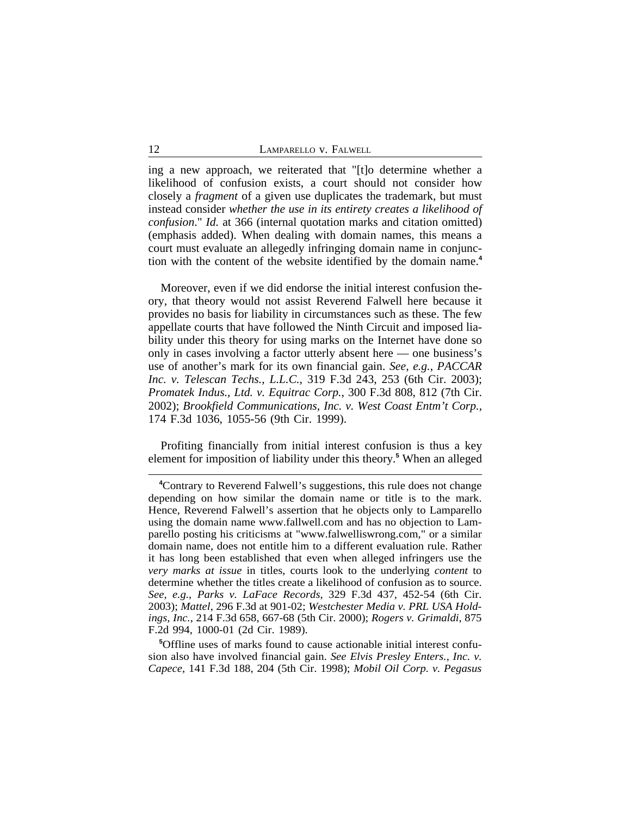ing a new approach, we reiterated that "[t]o determine whether a likelihood of confusion exists, a court should not consider how closely a *fragment* of a given use duplicates the trademark, but must instead consider *whether the use in its entirety creates a likelihood of confusion*." *Id.* at 366 (internal quotation marks and citation omitted) (emphasis added). When dealing with domain names, this means a court must evaluate an allegedly infringing domain name in conjunction with the content of the website identified by the domain name.**<sup>4</sup>**

Moreover, even if we did endorse the initial interest confusion theory, that theory would not assist Reverend Falwell here because it provides no basis for liability in circumstances such as these. The few appellate courts that have followed the Ninth Circuit and imposed liability under this theory for using marks on the Internet have done so only in cases involving a factor utterly absent here — one business's use of another's mark for its own financial gain. *See, e.g.*, *PACCAR Inc. v. Telescan Techs., L.L.C.*, 319 F.3d 243, 253 (6th Cir. 2003); *Promatek Indus., Ltd. v. Equitrac Corp.*, 300 F.3d 808, 812 (7th Cir. 2002); *Brookfield Communications, Inc. v. West Coast Entm't Corp.*, 174 F.3d 1036, 1055-56 (9th Cir. 1999).

Profiting financially from initial interest confusion is thus a key element for imposition of liability under this theory.**<sup>5</sup>** When an alleged

**5**Offline uses of marks found to cause actionable initial interest confusion also have involved financial gain. *See Elvis Presley Enters., Inc. v. Capece*, 141 F.3d 188, 204 (5th Cir. 1998); *Mobil Oil Corp. v. Pegasus*

**<sup>4</sup>**Contrary to Reverend Falwell's suggestions, this rule does not change depending on how similar the domain name or title is to the mark. Hence, Reverend Falwell's assertion that he objects only to Lamparello using the domain name www.fallwell.com and has no objection to Lamparello posting his criticisms at "www.falwelliswrong.com," or a similar domain name, does not entitle him to a different evaluation rule. Rather it has long been established that even when alleged infringers use the *very marks at issue* in titles, courts look to the underlying *content* to determine whether the titles create a likelihood of confusion as to source. *See, e.g.*, *Parks v. LaFace Records*, 329 F.3d 437, 452-54 (6th Cir. 2003); *Mattel*, 296 F.3d at 901-02; *Westchester Media v. PRL USA Holdings, Inc.*, 214 F.3d 658, 667-68 (5th Cir. 2000); *Rogers v. Grimaldi*, 875 F.2d 994, 1000-01 (2d Cir. 1989).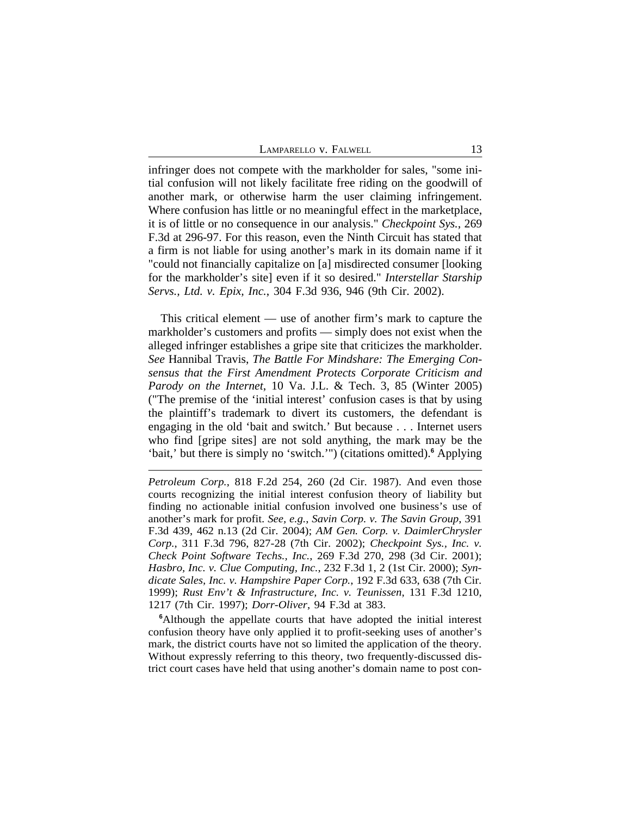infringer does not compete with the markholder for sales, "some initial confusion will not likely facilitate free riding on the goodwill of another mark, or otherwise harm the user claiming infringement. Where confusion has little or no meaningful effect in the marketplace, it is of little or no consequence in our analysis." *Checkpoint Sys.*, 269 F.3d at 296-97. For this reason, even the Ninth Circuit has stated that a firm is not liable for using another's mark in its domain name if it "could not financially capitalize on [a] misdirected consumer [looking for the markholder's site] even if it so desired." *Interstellar Starship Servs., Ltd. v. Epix, Inc.*, 304 F.3d 936, 946 (9th Cir. 2002).

This critical element — use of another firm's mark to capture the markholder's customers and profits — simply does not exist when the alleged infringer establishes a gripe site that criticizes the markholder. *See* Hannibal Travis, *The Battle For Mindshare: The Emerging Consensus that the First Amendment Protects Corporate Criticism and Parody on the Internet*, 10 Va. J.L. & Tech. 3, 85 (Winter 2005) ("The premise of the 'initial interest' confusion cases is that by using the plaintiff's trademark to divert its customers, the defendant is engaging in the old 'bait and switch.' But because . . . Internet users who find [gripe sites] are not sold anything, the mark may be the 'bait,' but there is simply no 'switch.'") (citations omitted).<sup>6</sup> Applying

*Petroleum Corp.*, 818 F.2d 254, 260 (2d Cir. 1987). And even those courts recognizing the initial interest confusion theory of liability but finding no actionable initial confusion involved one business's use of another's mark for profit. *See, e.g.*, *Savin Corp. v. The Savin Group*, 391 F.3d 439, 462 n.13 (2d Cir. 2004); *AM Gen. Corp. v. DaimlerChrysler Corp.*, 311 F.3d 796, 827-28 (7th Cir. 2002); *Checkpoint Sys., Inc. v. Check Point Software Techs., Inc.*, 269 F.3d 270, 298 (3d Cir. 2001); *Hasbro, Inc. v. Clue Computing, Inc.*, 232 F.3d 1, 2 (1st Cir. 2000); *Syndicate Sales, Inc. v. Hampshire Paper Corp.*, 192 F.3d 633, 638 (7th Cir. 1999); *Rust Env't & Infrastructure, Inc. v. Teunissen*, 131 F.3d 1210, 1217 (7th Cir. 1997); *Dorr-Oliver*, 94 F.3d at 383.

**<sup>6</sup>**Although the appellate courts that have adopted the initial interest confusion theory have only applied it to profit-seeking uses of another's mark, the district courts have not so limited the application of the theory. Without expressly referring to this theory, two frequently-discussed district court cases have held that using another's domain name to post con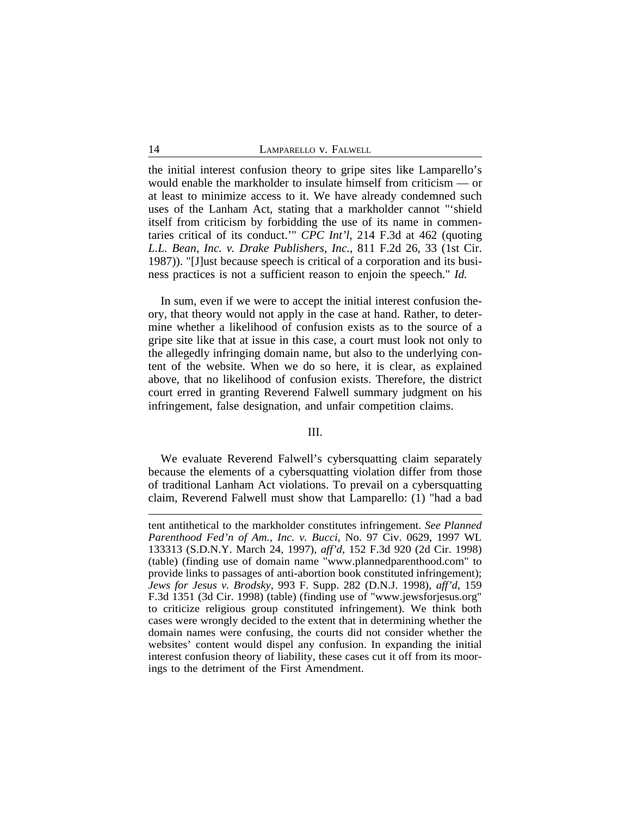the initial interest confusion theory to gripe sites like Lamparello's would enable the markholder to insulate himself from criticism — or at least to minimize access to it. We have already condemned such uses of the Lanham Act, stating that a markholder cannot "'shield itself from criticism by forbidding the use of its name in commentaries critical of its conduct.'" *CPC Int'l*, 214 F.3d at 462 (quoting *L.L. Bean, Inc. v. Drake Publishers, Inc.*, 811 F.2d 26, 33 (1st Cir. 1987)). "[J]ust because speech is critical of a corporation and its business practices is not a sufficient reason to enjoin the speech." *Id.*

In sum, even if we were to accept the initial interest confusion theory, that theory would not apply in the case at hand. Rather, to determine whether a likelihood of confusion exists as to the source of a gripe site like that at issue in this case, a court must look not only to the allegedly infringing domain name, but also to the underlying content of the website. When we do so here, it is clear, as explained above, that no likelihood of confusion exists. Therefore, the district court erred in granting Reverend Falwell summary judgment on his infringement, false designation, and unfair competition claims.

#### III.

We evaluate Reverend Falwell's cybersquatting claim separately because the elements of a cybersquatting violation differ from those of traditional Lanham Act violations. To prevail on a cybersquatting claim, Reverend Falwell must show that Lamparello: (1) "had a bad

tent antithetical to the markholder constitutes infringement. *See Planned Parenthood Fed'n of Am., Inc. v. Bucci*, No. 97 Civ. 0629, 1997 WL 133313 (S.D.N.Y. March 24, 1997), *aff'd*, 152 F.3d 920 (2d Cir. 1998) (table) (finding use of domain name "www.plannedparenthood.com" to provide links to passages of anti-abortion book constituted infringement); *Jews for Jesus v. Brodsky*, 993 F. Supp. 282 (D.N.J. 1998), *aff'd*, 159 F.3d 1351 (3d Cir. 1998) (table) (finding use of "www.jewsforjesus.org" to criticize religious group constituted infringement). We think both cases were wrongly decided to the extent that in determining whether the domain names were confusing, the courts did not consider whether the websites' content would dispel any confusion. In expanding the initial interest confusion theory of liability, these cases cut it off from its moorings to the detriment of the First Amendment.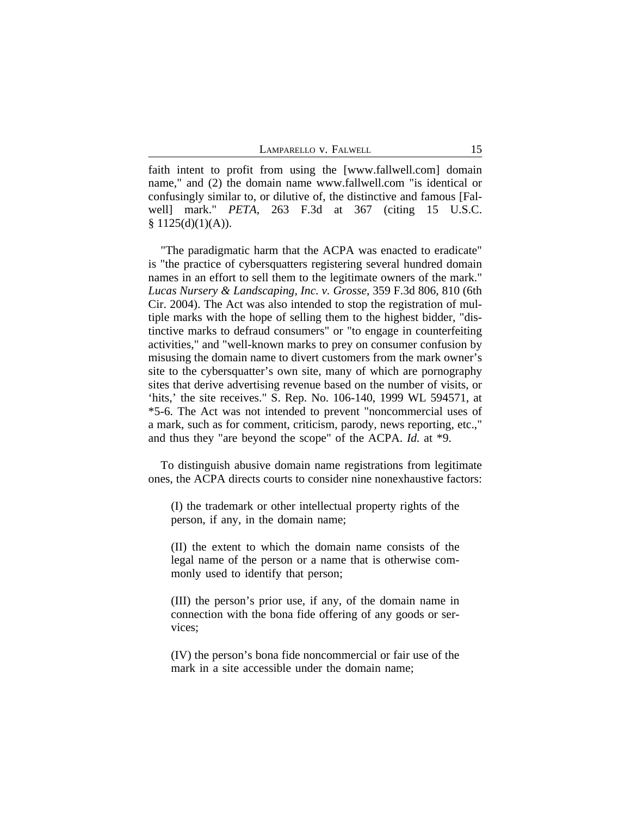faith intent to profit from using the [www.fallwell.com] domain name," and (2) the domain name www.fallwell.com "is identical or confusingly similar to, or dilutive of, the distinctive and famous [Falwell] mark." *PETA*, 263 F.3d at 367 (citing 15 U.S.C. § 1125(d)(1)(A)).

"The paradigmatic harm that the ACPA was enacted to eradicate" is "the practice of cybersquatters registering several hundred domain names in an effort to sell them to the legitimate owners of the mark." *Lucas Nursery & Landscaping, Inc. v. Grosse*, 359 F.3d 806, 810 (6th Cir. 2004). The Act was also intended to stop the registration of multiple marks with the hope of selling them to the highest bidder, "distinctive marks to defraud consumers" or "to engage in counterfeiting activities," and "well-known marks to prey on consumer confusion by misusing the domain name to divert customers from the mark owner's site to the cybersquatter's own site, many of which are pornography sites that derive advertising revenue based on the number of visits, or 'hits,' the site receives." S. Rep. No. 106-140, 1999 WL 594571, at \*5-6. The Act was not intended to prevent "noncommercial uses of a mark, such as for comment, criticism, parody, news reporting, etc.," and thus they "are beyond the scope" of the ACPA. *Id.* at \*9.

To distinguish abusive domain name registrations from legitimate ones, the ACPA directs courts to consider nine nonexhaustive factors:

(I) the trademark or other intellectual property rights of the person, if any, in the domain name;

(II) the extent to which the domain name consists of the legal name of the person or a name that is otherwise commonly used to identify that person;

(III) the person's prior use, if any, of the domain name in connection with the bona fide offering of any goods or services;

(IV) the person's bona fide noncommercial or fair use of the mark in a site accessible under the domain name;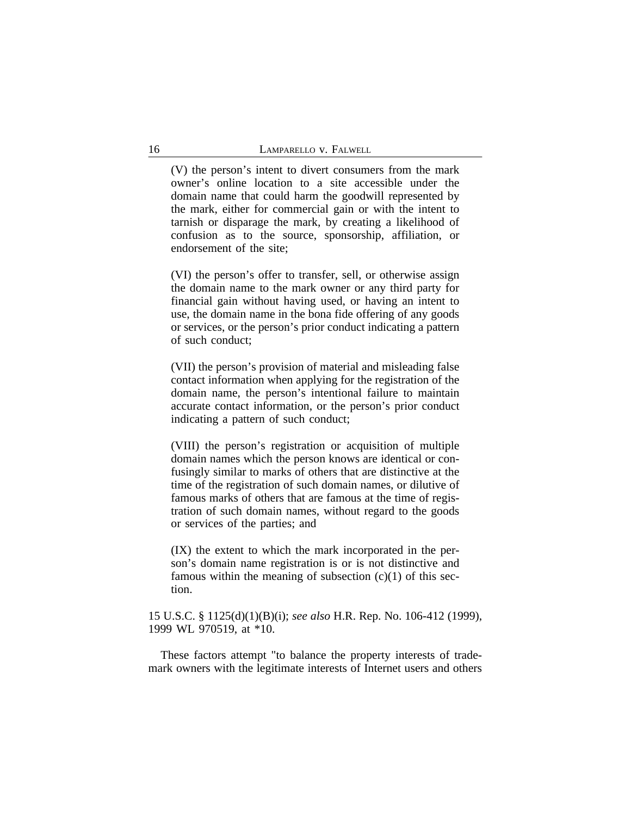(V) the person's intent to divert consumers from the mark owner's online location to a site accessible under the domain name that could harm the goodwill represented by the mark, either for commercial gain or with the intent to tarnish or disparage the mark, by creating a likelihood of confusion as to the source, sponsorship, affiliation, or endorsement of the site;

(VI) the person's offer to transfer, sell, or otherwise assign the domain name to the mark owner or any third party for financial gain without having used, or having an intent to use, the domain name in the bona fide offering of any goods or services, or the person's prior conduct indicating a pattern of such conduct;

(VII) the person's provision of material and misleading false contact information when applying for the registration of the domain name, the person's intentional failure to maintain accurate contact information, or the person's prior conduct indicating a pattern of such conduct;

(VIII) the person's registration or acquisition of multiple domain names which the person knows are identical or confusingly similar to marks of others that are distinctive at the time of the registration of such domain names, or dilutive of famous marks of others that are famous at the time of registration of such domain names, without regard to the goods or services of the parties; and

(IX) the extent to which the mark incorporated in the person's domain name registration is or is not distinctive and famous within the meaning of subsection  $(c)(1)$  of this section.

15 U.S.C. § 1125(d)(1)(B)(i); *see also* H.R. Rep. No. 106-412 (1999), 1999 WL 970519, at \*10.

These factors attempt "to balance the property interests of trademark owners with the legitimate interests of Internet users and others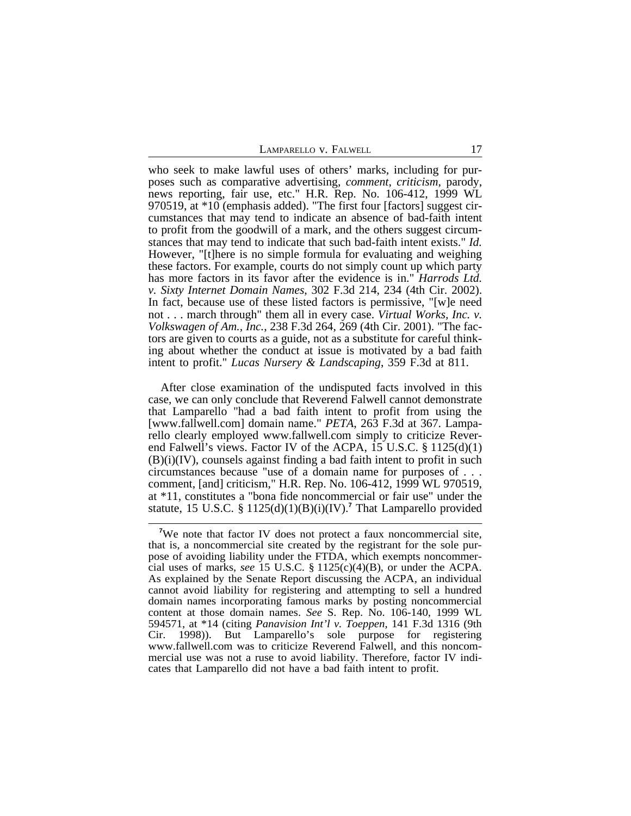who seek to make lawful uses of others' marks, including for purposes such as comparative advertising, *comment*, *criticism*, parody, news reporting, fair use, etc." H.R. Rep. No. 106-412, 1999 WL 970519, at \*10 (emphasis added). "The first four [factors] suggest circumstances that may tend to indicate an absence of bad-faith intent to profit from the goodwill of a mark, and the others suggest circumstances that may tend to indicate that such bad-faith intent exists." *Id.* However, "[t]here is no simple formula for evaluating and weighing these factors. For example, courts do not simply count up which party has more factors in its favor after the evidence is in." *Harrods Ltd. v. Sixty Internet Domain Names*, 302 F.3d 214, 234 (4th Cir. 2002). In fact, because use of these listed factors is permissive, "[w]e need not . . . march through" them all in every case. *Virtual Works, Inc. v. Volkswagen of Am., Inc.*, 238 F.3d 264, 269 (4th Cir. 2001). "The factors are given to courts as a guide, not as a substitute for careful thinking about whether the conduct at issue is motivated by a bad faith intent to profit." *Lucas Nursery & Landscaping*, 359 F.3d at 811.

After close examination of the undisputed facts involved in this case, we can only conclude that Reverend Falwell cannot demonstrate that Lamparello "had a bad faith intent to profit from using the [www.fallwell.com] domain name." *PETA*, 263 F.3d at 367. Lamparello clearly employed www.fallwell.com simply to criticize Reverend Falwell's views. Factor IV of the ACPA, 15 U.S.C. § 1125(d)(1) (B)(i)(IV), counsels against finding a bad faith intent to profit in such circumstances because "use of a domain name for purposes of . . . comment, [and] criticism," H.R. Rep. No. 106-412, 1999 WL 970519, at \*11, constitutes a "bona fide noncommercial or fair use" under the statute, 15 U.S.C. § 1125(d)(1)(B)(i)(IV).**<sup>7</sup>** That Lamparello provided

**<sup>7</sup>**We note that factor IV does not protect a faux noncommercial site, that is, a noncommercial site created by the registrant for the sole purpose of avoiding liability under the FTDA, which exempts noncommercial uses of marks, *see* 15 U.S.C. § 1125(c)(4)(B), or under the ACPA. As explained by the Senate Report discussing the ACPA, an individual cannot avoid liability for registering and attempting to sell a hundred domain names incorporating famous marks by posting noncommercial content at those domain names. *See* S. Rep. No. 106-140, 1999 WL 594571, at \*14 (citing *Panavision Int'l v. Toeppen*, 141 F.3d 1316 (9th Cir. 1998)). But Lamparello's sole purpose for registering www.fallwell.com was to criticize Reverend Falwell, and this noncommercial use was not a ruse to avoid liability. Therefore, factor IV indicates that Lamparello did not have a bad faith intent to profit.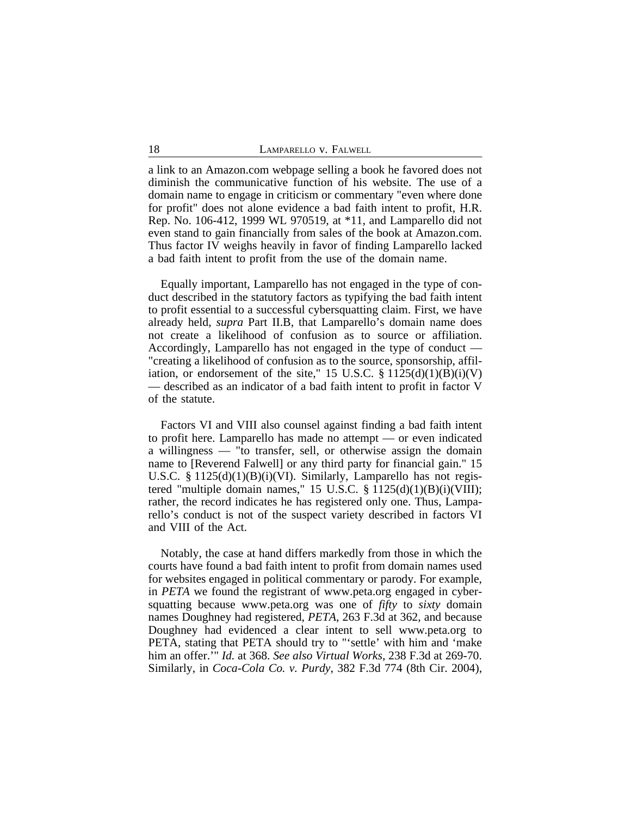a link to an Amazon.com webpage selling a book he favored does not diminish the communicative function of his website. The use of a domain name to engage in criticism or commentary "even where done for profit" does not alone evidence a bad faith intent to profit, H.R. Rep. No. 106-412, 1999 WL 970519, at \*11, and Lamparello did not even stand to gain financially from sales of the book at Amazon.com. Thus factor IV weighs heavily in favor of finding Lamparello lacked a bad faith intent to profit from the use of the domain name.

Equally important, Lamparello has not engaged in the type of conduct described in the statutory factors as typifying the bad faith intent to profit essential to a successful cybersquatting claim. First, we have already held, *supra* Part II.B, that Lamparello's domain name does not create a likelihood of confusion as to source or affiliation. Accordingly, Lamparello has not engaged in the type of conduct — "creating a likelihood of confusion as to the source, sponsorship, affiliation, or endorsement of the site," 15 U.S.C.  $\S 1125(d)(1)(B)(i)(V)$ — described as an indicator of a bad faith intent to profit in factor V of the statute.

Factors VI and VIII also counsel against finding a bad faith intent to profit here. Lamparello has made no attempt — or even indicated a willingness — "to transfer, sell, or otherwise assign the domain name to [Reverend Falwell] or any third party for financial gain." 15 U.S.C. § 1125(d)(1)(B)(i)(VI). Similarly, Lamparello has not registered "multiple domain names," 15 U.S.C.  $\S 1125(d)(1)(B)(i)(VIII);$ rather, the record indicates he has registered only one. Thus, Lamparello's conduct is not of the suspect variety described in factors VI and VIII of the Act.

Notably, the case at hand differs markedly from those in which the courts have found a bad faith intent to profit from domain names used for websites engaged in political commentary or parody. For example, in *PETA* we found the registrant of www.peta.org engaged in cybersquatting because www.peta.org was one of *fifty* to *sixty* domain names Doughney had registered, *PETA*, 263 F.3d at 362, and because Doughney had evidenced a clear intent to sell www.peta.org to PETA, stating that PETA should try to "'settle' with him and 'make him an offer.'" *Id.* at 368. *See also Virtual Works*, 238 F.3d at 269-70. Similarly, in *Coca-Cola Co. v. Purdy*, 382 F.3d 774 (8th Cir. 2004),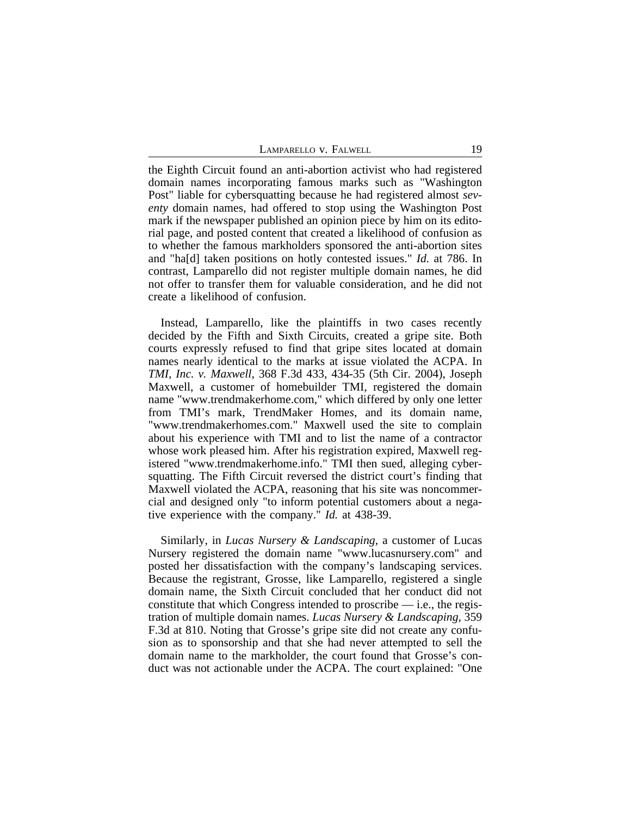the Eighth Circuit found an anti-abortion activist who had registered domain names incorporating famous marks such as "Washington Post" liable for cybersquatting because he had registered almost *seventy* domain names, had offered to stop using the Washington Post mark if the newspaper published an opinion piece by him on its editorial page, and posted content that created a likelihood of confusion as to whether the famous markholders sponsored the anti-abortion sites and "ha[d] taken positions on hotly contested issues." *Id.* at 786. In contrast, Lamparello did not register multiple domain names, he did not offer to transfer them for valuable consideration, and he did not create a likelihood of confusion.

Instead, Lamparello, like the plaintiffs in two cases recently decided by the Fifth and Sixth Circuits, created a gripe site. Both courts expressly refused to find that gripe sites located at domain names nearly identical to the marks at issue violated the ACPA. In *TMI, Inc. v. Maxwell*, 368 F.3d 433, 434-35 (5th Cir. 2004), Joseph Maxwell, a customer of homebuilder TMI, registered the domain name "www.trendmakerhome.com," which differed by only one letter from TMI's mark, TrendMaker Home*s*, and its domain name, "www.trendmakerhome*s*.com." Maxwell used the site to complain about his experience with TMI and to list the name of a contractor whose work pleased him. After his registration expired, Maxwell registered "www.trendmakerhome.info." TMI then sued, alleging cybersquatting. The Fifth Circuit reversed the district court's finding that Maxwell violated the ACPA, reasoning that his site was noncommercial and designed only "to inform potential customers about a negative experience with the company." *Id.* at 438-39.

Similarly, in *Lucas Nursery & Landscaping*, a customer of Lucas Nursery registered the domain name "www.lucasnursery.com" and posted her dissatisfaction with the company's landscaping services. Because the registrant, Grosse, like Lamparello, registered a single domain name, the Sixth Circuit concluded that her conduct did not constitute that which Congress intended to proscribe — i.e., the registration of multiple domain names. *Lucas Nursery & Landscaping*, 359 F.3d at 810. Noting that Grosse's gripe site did not create any confusion as to sponsorship and that she had never attempted to sell the domain name to the markholder, the court found that Grosse's conduct was not actionable under the ACPA. The court explained: "One